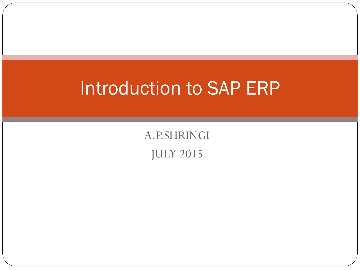### Introduction to SAP ERP

A.P.SHRINGI JULY 2015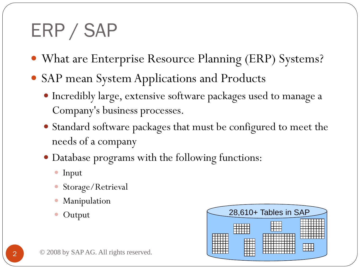### ERP / SAP

- What are Enterprise Resource Planning (ERP) Systems?
- SAP mean System Applications and Products
	- Incredibly large, extensive software packages used to manage a Company's business processes.
	- Standard software packages that must be configured to meet the needs of a company
	- Database programs with the following functions:
		- Input
		- Storage/Retrieval
		- Manipulation
		-

| 1.18111, 0.0101011<br>• Output     | 28,610+ Tables in SAP |
|------------------------------------|-----------------------|
|                                    |                       |
|                                    |                       |
| 08 by SAP AG. All rights reserved. |                       |
|                                    |                       |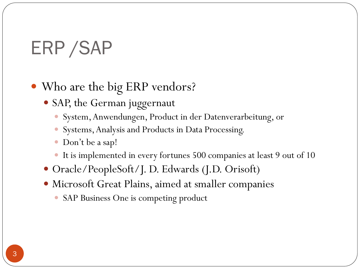## ERP /SAP

#### • Who are the big ERP vendors?

- SAP, the German juggernaut
	- System, Anwendungen, Product in der Datenverarbeitung, or
	- Systems, Analysis and Products in Data Processing.
	- Don't be a sap!
	- It is implemented in every fortunes 500 companies at least 9 out of 10
- Oracle/PeopleSoft/J. D. Edwards (J.D. Orisoft)
- Microsoft Great Plains, aimed at smaller companies
	- SAP Business One is competing product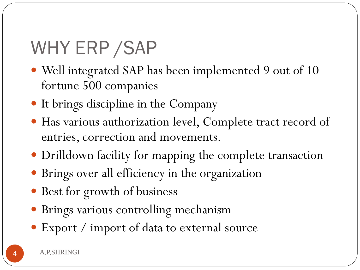## WHY ERP /SAP

- Well integrated SAP has been implemented 9 out of 10 fortune 500 companies
- It brings discipline in the Company
- Has various authorization level, Complete tract record of entries, correction and movements.
- Drilldown facility for mapping the complete transaction
- Brings over all efficiency in the organization
- Best for growth of business
- Brings various controlling mechanism
- Export / import of data to external source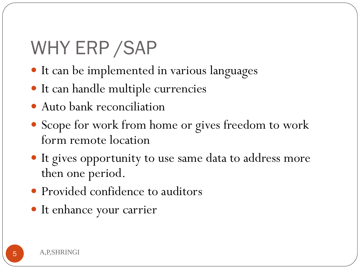## WHY ERP /SAP

- It can be implemented in various languages
- It can handle multiple currencies
- Auto bank reconciliation
- Scope for work from home or gives freedom to work form remote location
- It gives opportunity to use same data to address more then one period.
- Provided confidence to auditors
- It enhance your carrier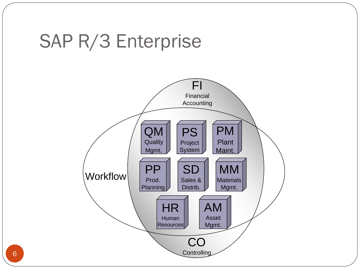### SAP R/3 Enterprise



6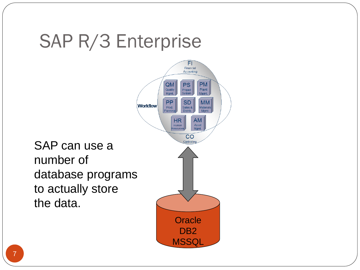### SAP R/3 Enterprise

 $FI$ Financial Accounting  $\overline{QM}$ **PM PS** Quality Project Plant System Mamt. Maint. **PP SD MM Workflow** Prod. Sales & **Aaterials** Distrib. Mamt. Planning **HR AM** Asset Human Mgmt. Resources  $CO$ Controlling **Oracle** D<sub>B2</sub>

**MSSQL** 

SAP can use a number of database programs to actually store the data.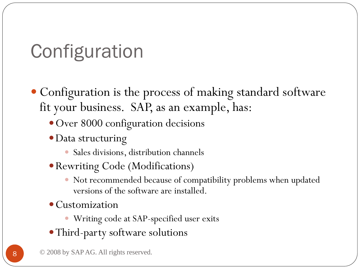## **Configuration**

- Configuration is the process of making standard software fit your business. SAP, as an example, has:
	- Over 8000 configuration decisions
	- Data structuring
		- Sales divisions, distribution channels
	- Rewriting Code (Modifications)
		- Not recommended because of compatibility problems when updated versions of the software are installed.
	- Customization
		- Writing code at SAP-specified user exits
	- Third-party software solutions
	- 8 © 2008 by SAP AG. All rights reserved.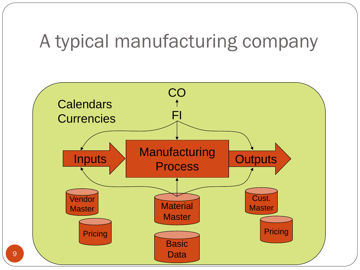### A typical manufacturing company

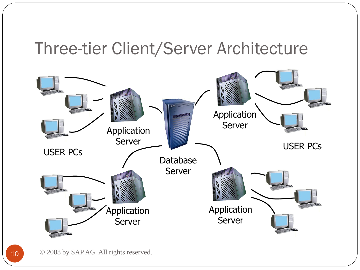#### Three-tier Client/Server Architecture



10 © 2008 by SAP AG. All rights reserved.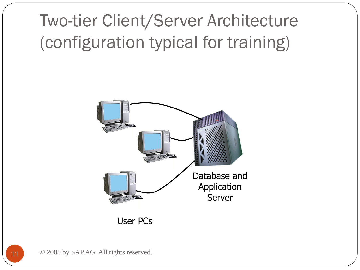### Two-tier Client/Server Architecture (configuration typical for training)



User PCs

11 © 2008 by SAP AG. All rights reserved.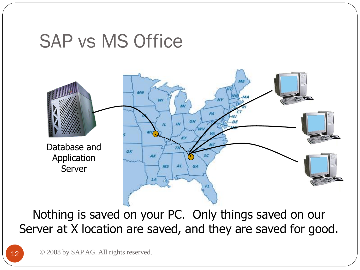### SAP vs MS Office



Nothing is saved on your PC. Only things saved on our Server at X location are saved, and they are saved for good.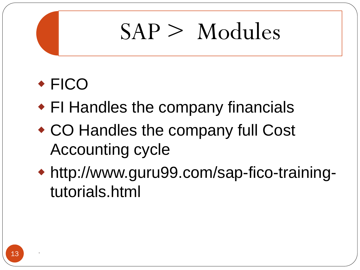#### FICO

- FI Handles the company financials
- CO Handles the company full Cost Accounting cycle
- http://www.guru99.com/sap-fico-trainingtutorials.html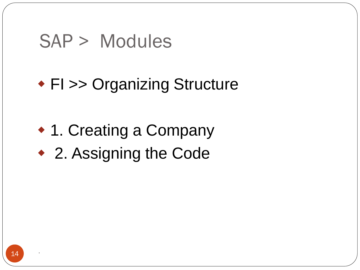#### FI >> Organizing Structure

◆ 1. Creating a Company 2. Assigning the Code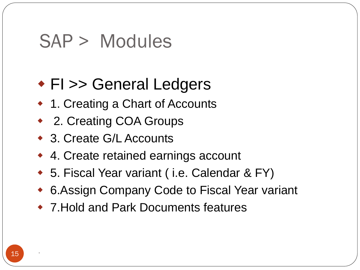#### ◆ FI >> General Ledgers

- ◆ 1. Creating a Chart of Accounts
- ◆ 2. Creating COA Groups
- 3. Create G/L Accounts
- ◆ 4. Create retained earnings account
- ◆ 5. Fiscal Year variant (i.e. Calendar & FY)
- 6.Assign Company Code to Fiscal Year variant
- 7.Hold and Park Documents features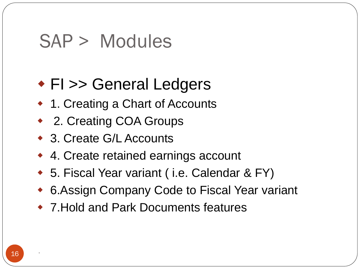#### ◆ FI >> General Ledgers

- ◆ 1. Creating a Chart of Accounts
- ◆ 2. Creating COA Groups
- 3. Create G/L Accounts
- ◆ 4. Create retained earnings account
- ◆ 5. Fiscal Year variant (i.e. Calendar & FY)
- 6.Assign Company Code to Fiscal Year variant
- 7.Hold and Park Documents features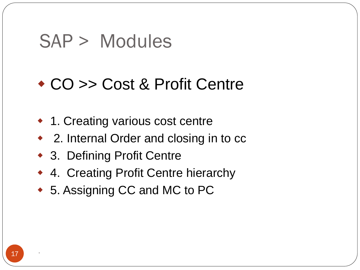#### CO >> Cost & Profit Centre

- ◆ 1. Creating various cost centre
- ◆ 2. Internal Order and closing in to cc
- 3. Defining Profit Centre
- ◆ 4. Creating Profit Centre hierarchy
- ◆ 5. Assigning CC and MC to PC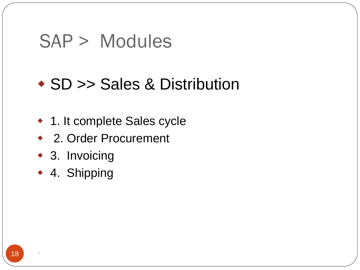#### ◆ SD >> Sales & Distribution

- ◆ 1. It complete Sales cycle
- 2. Order Procurement
- 3. Invoicing
- 4. Shipping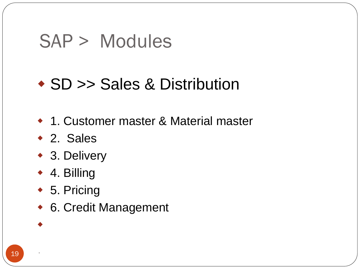#### SD >> Sales & Distribution

- 1. Customer master & Material master
- 2. Sales
- ◆ 3. Delivery
- 4. Billing
- ◆ 5. Pricing
- 6. Credit Management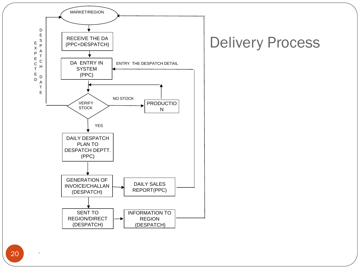

#### Delivery Process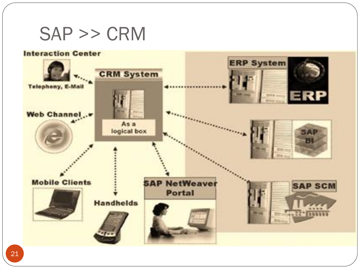#### SAP >> CRM

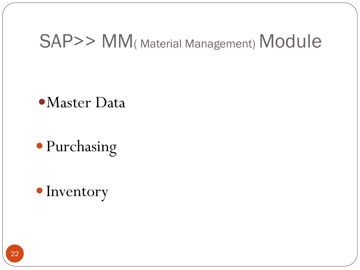### SAP>> MM(Material Management) Module

#### Master Data

Purchasing

• Inventory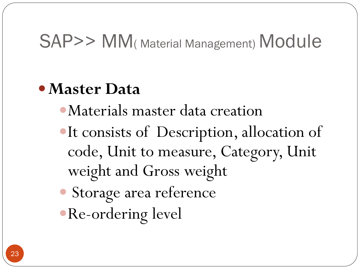### SAP>> MM( Material Management) Module

#### **Master Data**

- Materials master data creation
- It consists of Description, allocation of code, Unit to measure, Category, Unit weight and Gross weight Storage area reference Re-ordering level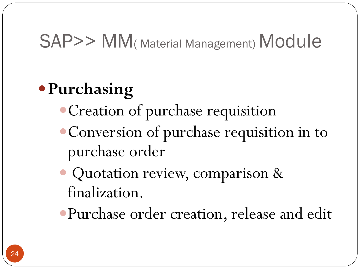### SAP>> MM( Material Management) Module

### **Purchasing**

- Creation of purchase requisition
- Conversion of purchase requisition in to purchase order
- Quotation review, comparison & finalization.
- Purchase order creation, release and edit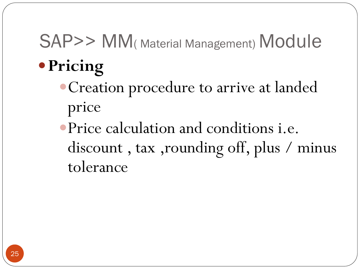# SAP>> MM( Material Management) Module

- **Pricing**
	- Creation procedure to arrive at landed price
	- Price calculation and conditions i.e. discount , tax ,rounding off, plus / minus tolerance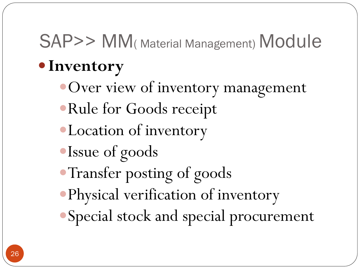# SAP>> MM(Material Management) Module

### **Inventory**

- Over view of inventory management
- Rule for Goods receipt
- Location of inventory
- Issue of goods
- Transfer posting of goods
- Physical verification of inventory
- Special stock and special procurement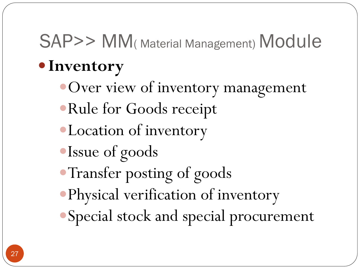# SAP>> MM(Material Management) Module

### **Inventory**

- Over view of inventory management
- Rule for Goods receipt
- Location of inventory
- Issue of goods
- Transfer posting of goods
- Physical verification of inventory
- Special stock and special procurement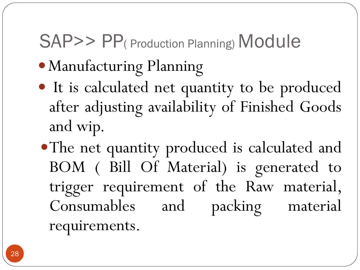## SAP>> PP( Production Planning) Module

- Manufacturing Planning
- It is calculated net quantity to be produced after adjusting availability of Finished Goods and wip.
- The net quantity produced is calculated and BOM ( Bill Of Material) is generated to trigger requirement of the Raw material, Consumables and packing material requirements.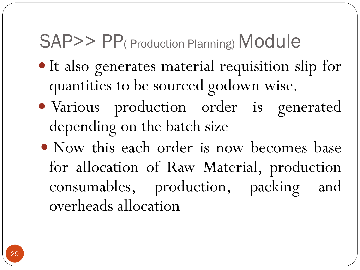### SAP>> PP( Production Planning) Module

- It also generates material requisition slip for quantities to be sourced godown wise.
- Various production order is generated depending on the batch size
- Now this each order is now becomes base for allocation of Raw Material, production consumables, production, packing and overheads allocation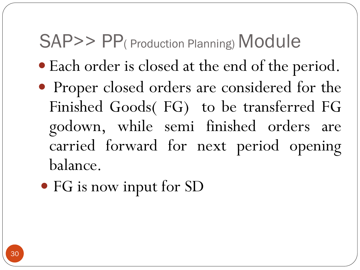### SAP>> PP( Production Planning) Module

- Each order is closed at the end of the period.
- Proper closed orders are considered for the Finished Goods( FG) to be transferred FG godown, while semi finished orders are carried forward for next period opening balance.
- FG is now input for SD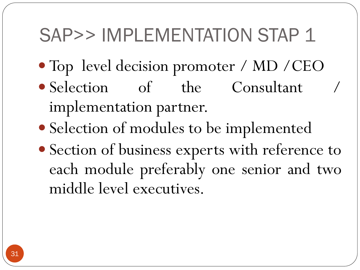### SAP>> IMPLEMENTATION STAP 1

- Top level decision promoter / MD / CEO
- Selection of the Consultant implementation partner.
- Selection of modules to be implemented
- Section of business experts with reference to each module preferably one senior and two middle level executives.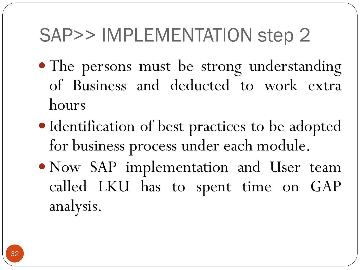## SAP>> IMPLEMENTATION step 2

- The persons must be strong understanding of Business and deducted to work extra hours
- Identification of best practices to be adopted for business process under each module.
- Now SAP implementation and User team called LKU has to spent time on GAP analysis.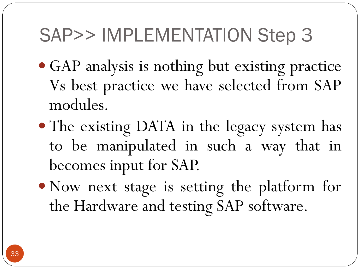### SAP>> IMPLEMENTATION Step 3

- GAP analysis is nothing but existing practice Vs best practice we have selected from SAP modules.
- The existing DATA in the legacy system has to be manipulated in such a way that in becomes input for SAP.
- Now next stage is setting the platform for the Hardware and testing SAP software.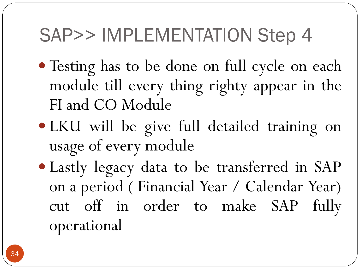### SAP>> IMPLEMENTATION Step 4

- Testing has to be done on full cycle on each module till every thing righty appear in the FI and CO Module
- LKU will be give full detailed training on usage of every module
- Lastly legacy data to be transferred in SAP on a period ( Financial Year / Calendar Year) cut off in order to make SAP fully operational